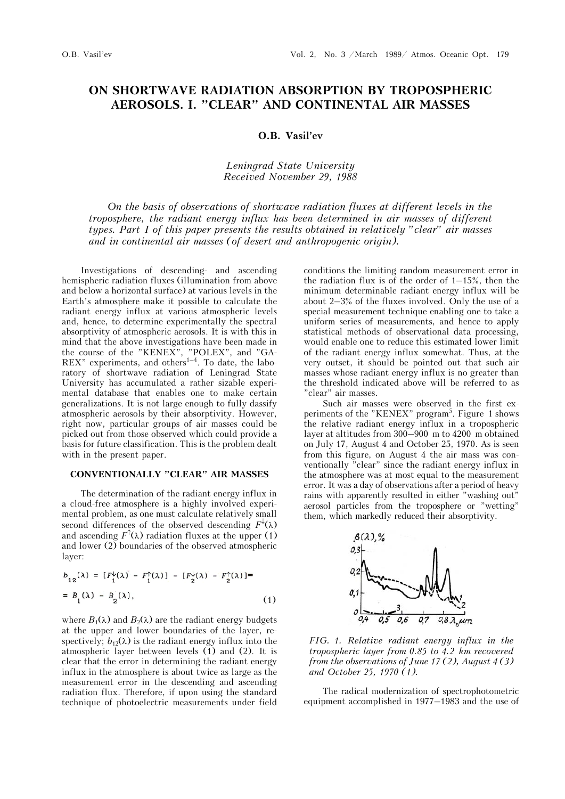# **ON SHORTWAVE RADIATION ABSORPTION BY TROPOSPHERIC AEROSOLS. I. "CLEAR" AND CONTINENTAL AIR MASSES**

### **O.B. Vasil'ev**

# *Leningrad State University Received November 29, 1988*

*On the basis of observations of shortwave radiation fluxes at different levels in the troposphere, the radiant energy influx has been determined in air masses of different types. Part I of this paper presents the results obtained in relatively "clear" air masses and in continental air masses (of desert and anthropogenic origin).*

Investigations of descending- and ascending hemispheric radiation fluxes (illumination from above and below a horizontal surface) at various levels in the Earth's atmosphere make it possible to calculate the radiant energy influx at various atmospheric levels and, hence, to determine experimentally the spectral absorptivity of atmospheric aerosols. It is with this in mind that the above investigations have been made in the course of the "KENEX", "POLEX", and "GA-REX" experiments, and others $1-4$ . To date, the laboratory of shortwave radiation of Leningrad State University has accumulated a rather sizable experimental database that enables one to make certain generalizations. It is not large enough to fully dassify atmospheric aerosols by their absorptivity. However, right now, particular groups of air masses could be picked out from those observed which could provide a basis for future classification. This is the problem dealt with in the present paper.

### **CONVENTIONALLY "CLEAR" AIR MASSES**

The determination of the radiant energy influx in a cloud-free atmosphere is a highly involved experimental problem, as one must calculate relatively small second differences of the observed descending  $F^{\downarrow}(\lambda)$ and ascending  $F^{\uparrow}(\lambda)$  radiation fluxes at the upper (1) and lower  $(2)$  boundaries of the observed atmospheric layer:

$$
b_{12}(\lambda) = [F_1^{\downarrow}(\lambda) - F_1^{\uparrow}(\lambda)] - [F_2^{\downarrow}(\lambda) - F_2^{\uparrow}(\lambda)] =
$$
  
=  $B_1(\lambda) - B_2(\lambda)$ , (1)

where  $B_1(\lambda)$  and  $B_2(\lambda)$  are the radiant energy budgets at the upper and lower boundaries of the layer, respectively;  $b_{12}(\lambda)$  is the radiant energy influx into the atmospheric layer between levels (1) and (2). It is clear that the error in determining the radiant energy influx in the atmosphere is about twice as large as the measurement error in the descending and ascending radiation flux. Therefore, if upon using the standard technique of photoelectric measurements under field conditions the limiting random measurement error in the radiation flux is of the order of  $1-15\%$ , then the minimum determinable radiant energy influx will be about 2–3% of the fluxes involved. Only the use of a special measurement technique enabling one to take a uniform series of measurements, and hence to apply statistical methods of observational data processing, would enable one to reduce this estimated lower limit of the radiant energy influx somewhat. Thus, at the very outset, it should be pointed out that such air masses whose radiant energy influx is no greater than the threshold indicated above will be referred to as "clear" air masses.

Such air masses were observed in the first experiments of the "KENEX" program<sup>5</sup>. Figure 1 shows the relative radiant energy influx in a tropospheric layer at altitudes from 300–900 m to 4200 m obtained on July 17, August 4 and October 25, 1970. As is seen from this figure, on August 4 the air mass was conventionally "clear" since the radiant energy influx in the atmosphere was at most equal to the measurement error. It was a day of observations after a period of heavy rains with apparently resulted in either "washing out" aerosol particles from the troposphere or "wetting" them, which markedly reduced their absorptivity.



*FIG. 1. Relative radiant energy influx in the tropospheric layer from 0.85 to 4.2 km recovered from the observations of June 17 (2), August 4 (3) and October 25, 1970 (1).*

The radical modernization of spectrophotometric equipment accomplished in 1977–1983 and the use of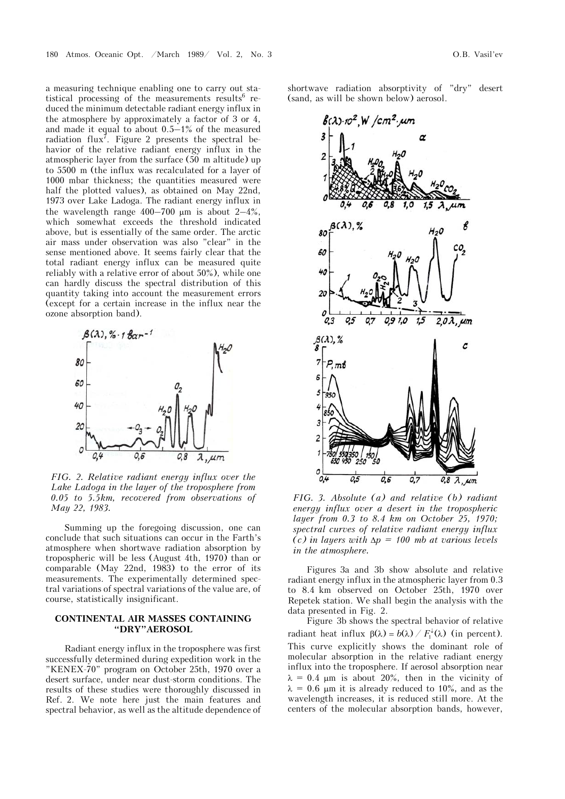a measuring technique enabling one to carry out statistical processing of the measurements results  $6$  reduced the minimum detectable radiant energy influx in the atmosphere by approximately a factor of 3 or 4, and made it equal to about  $0.5-1\%$  of the measured radiation flux<sup>7</sup>. Figure 2 presents the spectral behavior of the relative radiant energy influx in the atmospheric layer from the surface (50 m altitude) up to 5500 m (the influx was recalculated for a layer of 1000 mbar thickness; the quantities measured were half the plotted values), as obtained on May 22nd, 1973 over Lake Ladoga. The radiant energy influx in the wavelength range  $400-700 \mu m$  is about  $2-4\%$ , which somewhat exceeds the threshold indicated above, but is essentially of the same order. The arctic air mass under observation was also "clear" in the sense mentioned above. It seems fairly clear that the total radiant energy influx can be measured quite reliably with a relative error of about 50%), while one can hardly discuss the spectral distribution of this quantity taking into account the measurement errors (except for a certain increase in the influx near the ozone absorption band).



*FIG. 2. Relative radiant energy influx over the Lake Ladoga in the layer of the troposphere from 0.05 to 5.5km, recovered from observations of May 22, 1983.*

Summing up the foregoing discussion, one can conclude that such situations can occur in the Farth's atmosphere when shortwave radiation absorption by tropospheric will be less (August 4th, 1970) than or comparable (May 22nd, 1983) to the error of its measurements. The experimentally determined spectral variations of spectral variations of the value are, of course, statistically insignificant.

# **CONTINENTAL AIR MASSES CONTAINING "DRY"AEROSOL**

Radiant energy influx in the troposphere was first successfully determined during expedition work in the "KENEX-70" program on October 25th, 1970 over a desert surface, under near dust-storm conditions. The results of these studies were thoroughly discussed in Ref. 2. We note here just the main features and spectral behavior, as well as the altitude dependence of

shortwave radiation absorptivity of "dry" desert (sand, as will be shown below) aerosol.



*FIG. 3. Absolute (a) and relative (b) radiant energy influx over a desert in the tropospheric layer from 0.3 to 8.4 km on October 25, 1970; spectral curves of relative radiant energy influx*   $(c)$  in layers with  $\Delta p = 100$  mb at various levels *in the atmosphere.*

Figures 3a and 3b show absolute and relative radiant energy influx in the atmospheric layer from 0.3 to 8.4 km observed on October 25th, 1970 over Repetek station. We shall begin the analysis with the data presented in Fig. 2.

Figure 3b shows the spectral behavior of relative radiant heat influx  $\beta(\lambda) = b(\lambda) / F_1^{\downarrow}(\lambda)$  (in percent). This curve explicitly shows the dominant role of molecular absorption in the relative radiant energy influx into the troposphere. If aerosol absorption near  $\lambda = 0.4$  µm is about 20%, then in the vicinity of  $\lambda = 0.6$  µm it is already reduced to 10%, and as the wavelength increases, it is reduced still more. At the centers of the molecular absorption bands, however,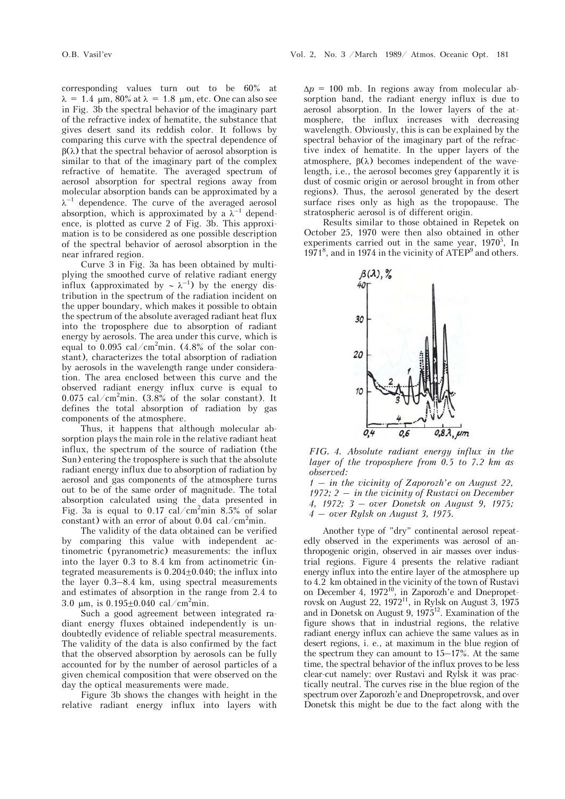corresponding values turn out to be 60% at  $\lambda = 1.4$  µm, 80% at  $\lambda = 1.8$  µm, etc. One can also see in Fig. 3b the spectral behavior of the imaginary part of the refractive index of hematite, the substance that gives desert sand its reddish color. It follows by comparing this curve with the spectral dependence of  $\beta(\lambda)$  that the spectral behavior of aerosol absorption is similar to that of the imaginary part of the complex refractive of hematite. The averaged spectrum of aerosol absorption for spectral regions away from molecular absorption bands can be approximated by a  $\lambda^{-1}$  dependence. The curve of the averaged aerosol absorption, which is approximated by a  $\lambda^{-1}$  dependence, is plotted as curve 2 of Fig. 3b. This approximation is to be considered as one possible description of the spectral behavior of aerosol absorption in the near infrared region.

Curve 3 in Fig. 3a has been obtained by multiplying the smoothed curve of relative radiant energy influx (approximated by  $\sim \lambda^{-1}$ ) by the energy distribution in the spectrum of the radiation incident on the upper boundary, which makes it possible to obtain the spectrum of the absolute averaged radiant heat flux into the troposphere due to absorption of radiant energy by aerosols. The area under this curve, which is equal to 0.095 cal/cm<sup>2</sup>min. (4.8% of the solar constant), characterizes the total absorption of radiation by aerosols in the wavelength range under consideration. The area enclosed between this curve and the observed radiant energy influx curve is equal to 0.075 cal/cm<sup>2</sup>min.  $(3.8\% \text{ of the solar constant})$ . It defines the total absorption of radiation by gas components of the atmosphere.

Thus, it happens that although molecular absorption plays the main role in the relative radiant heat influx, the spectrum of the source of radiation (the Sun) entering the troposphere is such that the absolute radiant energy influx due to absorption of radiation by aerosol and gas components of the atmosphere turns out to be of the same order of magnitude. The total absorption calculated using the data presented in Fig. 3a is equal to 0.17 cal/cm<sup>2</sup>min 8.5% of solar constant) with an error of about  $0.04 \text{ cal/cm}^2$ min.

The validity of the data obtained can be verified by comparing this value with independent actinometric (pyranometric) measurements: the influx into the layer 0.3 to 8.4 km from actinometric (integrated measurements is  $0.204 \pm 0.040$ ; the influx into the layer 0.3–8.4 km, using spectral measurements and estimates of absorption in the range from 2.4 to 3.0  $\mu$ m, is 0.195 $\pm$ 0.040 cal/cm<sup>2</sup>min.

Such a good agreement between integrated radiant energy fluxes obtained independently is undoubtedly evidence of reliable spectral measurements. The validity of the data is also confirmed by the fact that the observed absorption by aerosols can be fully accounted for by the number of aerosol particles of a given chemical composition that were observed on the day the optical measurements were made.

Figure 3b shows the changes with height in the relative radiant energy influx into layers with  $\Delta p = 100$  mb. In regions away from molecular absorption band, the radiant energy influx is due to aerosol absorption. In the lower layers of the atmosphere, the influx increases with decreasing wavelength. Obviously, this is can be explained by the spectral behavior of the imaginary part of the refractive index of hematite. In the upper layers of the atmosphere,  $\beta(\lambda)$  becomes independent of the wavelength, i.e., the aerosol becomes grey (apparently it is dust of cosmic origin or aerosol brought in from other regions). Thus, the aerosol generated by the desert surface rises only as high as the tropopause. The stratospheric aerosol is of different origin.

Results similar to those obtained in Repetek on October 25, 1970 were then also obtained in other experiments carried out in the same year,  $1970^5$ , In 1971<sup>8</sup>, and in 1974 in the vicinity of ATEP<sup>9</sup> and others.



*FIG. 4. Absolute radiant energy influx in the layer of the troposphere from 0.5 to 7.2 km as observed:*

*1 – in the vicinity of Zaporozh'e on August 22, 1972; 2 – in the vicinity of Rustavi on December 4, 1972; 3 – over Donetsk on August 9, 1975; 4 – over Rylsk on August 3, 1975.*

Another type of "dry" continental aerosol repeatedly observed in the experiments was aerosol of anthropogenic origin, observed in air masses over industrial regions. Figure 4 presents the relative radiant energy influx into the entire layer of the atmosphere up to 4.2 km obtained in the vicinity of the town of Rustavi on December 4,  $1972^{10}$ , in Zaporozh'e and Dnepropetrovsk on August 22, 1972 $^{11}$ , in Rylsk on August 3, 1975 and in Donetsk on August 9, 1975<sup>12</sup>. Examination of the figure shows that in industrial regions, the relative radiant energy influx can achieve the same values as in desert regions, i. e., at maximum in the blue region of the spectrum they can amount to 15–17%. At the same time, the spectral behavior of the influx proves to be less clear-cut namely: over Rustavi and Rylsk it was practically neutral. The curves rise in the blue region of the spectrum over Zaporozh'e and Dnepropetrovsk, and over Donetsk this might be due to the fact along with the